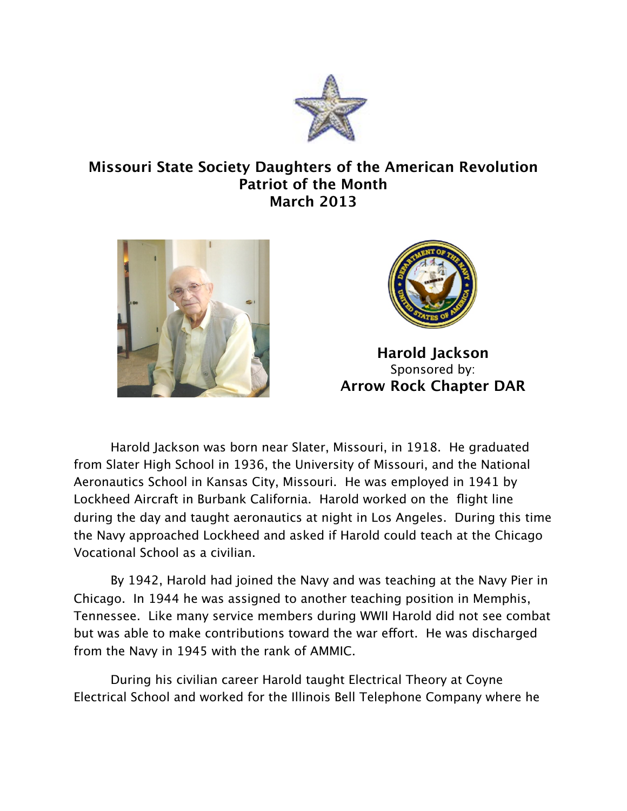

## **Missouri State Society Daughters of the American Revolution Patriot of the Month March 2013**





**Harold Jackson** Sponsored by: **Arrow Rock Chapter DAR**

Harold Jackson was born near Slater, Missouri, in 1918. He graduated from Slater High School in 1936, the University of Missouri, and the National Aeronautics School in Kansas City, Missouri. He was employed in 1941 by Lockheed Aircraft in Burbank California. Harold worked on the flight line during the day and taught aeronautics at night in Los Angeles. During this time the Navy approached Lockheed and asked if Harold could teach at the Chicago Vocational School as a civilian.

By 1942, Harold had joined the Navy and was teaching at the Navy Pier in Chicago. In 1944 he was assigned to another teaching position in Memphis, Tennessee. Like many service members during WWII Harold did not see combat but was able to make contributions toward the war effort. He was discharged from the Navy in 1945 with the rank of AMMIC.

During his civilian career Harold taught Electrical Theory at Coyne Electrical School and worked for the Illinois Bell Telephone Company where he